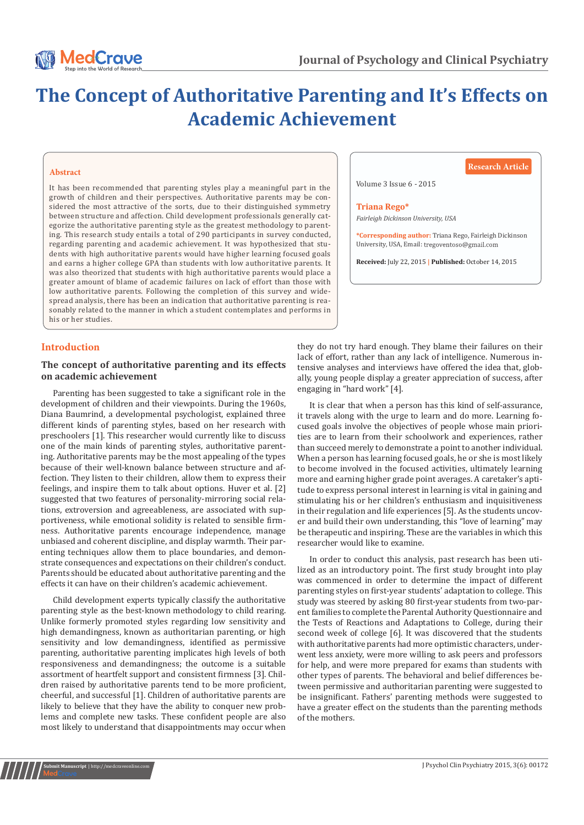

# **The Concept of Authoritative Parenting and It's Effects on Academic Achievement**

# **Abstract**

**G** MedCrave

It has been recommended that parenting styles play a meaningful part in the growth of children and their perspectives. Authoritative parents may be considered the most attractive of the sorts, due to their distinguished symmetry between structure and affection. Child development professionals generally categorize the authoritative parenting style as the greatest methodology to parenting. This research study entails a total of 290 participants in survey conducted, regarding parenting and academic achievement. It was hypothesized that students with high authoritative parents would have higher learning focused goals and earns a higher college GPA than students with low authoritative parents. It was also theorized that students with high authoritative parents would place a greater amount of blame of academic failures on lack of effort than those with low authoritative parents. Following the completion of this survey and widespread analysis, there has been an indication that authoritative parenting is reasonably related to the manner in which a student contemplates and performs in his or her studies.

# **Introduction**

# **The concept of authoritative parenting and its effects on academic achievement**

Parenting has been suggested to take a significant role in the development of children and their viewpoints. During the 1960s, Diana Baumrind, a developmental psychologist, explained three different kinds of parenting styles, based on her research with preschoolers [1]. This researcher would currently like to discuss one of the main kinds of parenting styles, authoritative parenting. Authoritative parents may be the most appealing of the types because of their well-known balance between structure and affection. They listen to their children, allow them to express their feelings, and inspire them to talk about options. Huver et al. [2] suggested that two features of personality-mirroring social relations, extroversion and agreeableness, are associated with supportiveness, while emotional solidity is related to sensible firmness. Authoritative parents encourage independence, manage unbiased and coherent discipline, and display warmth. Their parenting techniques allow them to place boundaries, and demonstrate consequences and expectations on their children's conduct. Parents should be educated about authoritative parenting and the effects it can have on their children's academic achievement.

Child development experts typically classify the authoritative parenting style as the best-known methodology to child rearing. Unlike formerly promoted styles regarding low sensitivity and high demandingness, known as authoritarian parenting, or high sensitivity and low demandingness, identified as permissive parenting, authoritative parenting implicates high levels of both responsiveness and demandingness; the outcome is a suitable assortment of heartfelt support and consistent firmness [3]. Children raised by authoritative parents tend to be more proficient, cheerful, and successful [1]. Children of authoritative parents are likely to believe that they have the ability to conquer new problems and complete new tasks. These confident people are also most likely to understand that disappointments may occur when

# **Research Article**

Volume 3 Issue 6 - 2015

#### **Triana Rego\***

*Fairleigh Dickinson University, USA*

**\*Corresponding author:** Triana Rego, Fairleigh Dickinson University, USA, Email: tregoventoso@gmail.com

**Received:** July 22, 2015 **| Published:** October 14, 2015

they do not try hard enough. They blame their failures on their lack of effort, rather than any lack of intelligence. Numerous intensive analyses and interviews have offered the idea that, globally, young people display a greater appreciation of success, after engaging in "hard work" [4].

It is clear that when a person has this kind of self-assurance, it travels along with the urge to learn and do more. Learning focused goals involve the objectives of people whose main priorities are to learn from their schoolwork and experiences, rather than succeed merely to demonstrate a point to another individual. When a person has learning focused goals, he or she is most likely to become involved in the focused activities, ultimately learning more and earning higher grade point averages. A caretaker's aptitude to express personal interest in learning is vital in gaining and stimulating his or her children's enthusiasm and inquisitiveness in their regulation and life experiences [5]. As the students uncover and build their own understanding, this "love of learning" may be therapeutic and inspiring. These are the variables in which this researcher would like to examine.

In order to conduct this analysis, past research has been utilized as an introductory point. The first study brought into play was commenced in order to determine the impact of different parenting styles on first-year students' adaptation to college. This study was steered by asking 80 first-year students from two-parent families to complete the Parental Authority Questionnaire and the Tests of Reactions and Adaptations to College, during their second week of college [6]. It was discovered that the students with authoritative parents had more optimistic characters, underwent less anxiety, were more willing to ask peers and professors for help, and were more prepared for exams than students with other types of parents. The behavioral and belief differences between permissive and authoritarian parenting were suggested to be insignificant. Fathers' parenting methods were suggested to have a greater effect on the students than the parenting methods of the mothers.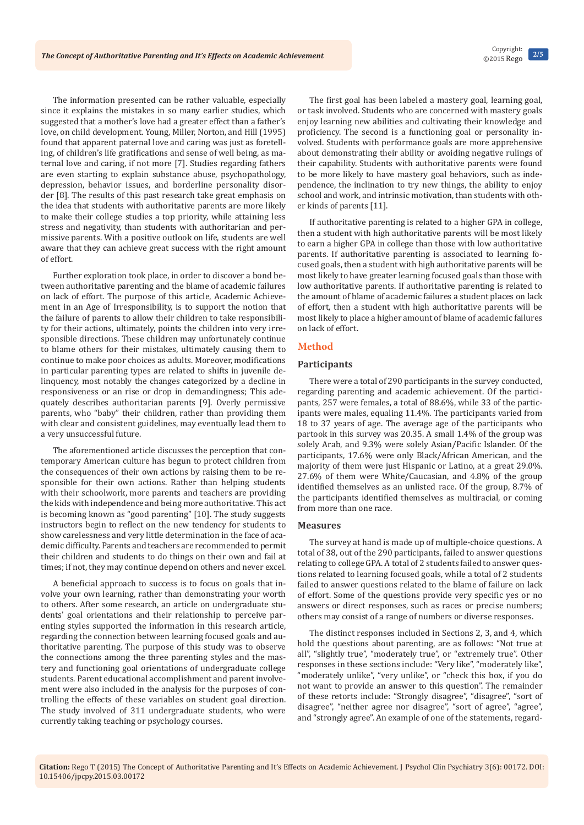The information presented can be rather valuable, especially since it explains the mistakes in so many earlier studies, which suggested that a mother's love had a greater effect than a father's love, on child development. Young, Miller, Norton, and Hill (1995) found that apparent paternal love and caring was just as foretelling, of children's life gratifications and sense of well being, as maternal love and caring, if not more [7]. Studies regarding fathers are even starting to explain substance abuse, psychopathology, depression, behavior issues, and borderline personality disorder [8]. The results of this past research take great emphasis on the idea that students with authoritative parents are more likely to make their college studies a top priority, while attaining less stress and negativity, than students with authoritarian and permissive parents. With a positive outlook on life, students are well aware that they can achieve great success with the right amount of effort.

Further exploration took place, in order to discover a bond between authoritative parenting and the blame of academic failures on lack of effort. The purpose of this article, Academic Achievement in an Age of Irresponsibility, is to support the notion that the failure of parents to allow their children to take responsibility for their actions, ultimately, points the children into very irresponsible directions. These children may unfortunately continue to blame others for their mistakes, ultimately causing them to continue to make poor choices as adults. Moreover, modifications in particular parenting types are related to shifts in juvenile delinquency, most notably the changes categorized by a decline in responsiveness or an rise or drop in demandingness; This adequately describes authoritarian parents [9]. Overly permissive parents, who "baby" their children, rather than providing them with clear and consistent guidelines, may eventually lead them to a very unsuccessful future.

The aforementioned article discusses the perception that contemporary American culture has begun to protect children from the consequences of their own actions by raising them to be responsible for their own actions. Rather than helping students with their schoolwork, more parents and teachers are providing the kids with independence and being more authoritative. This act is becoming known as "good parenting" [10]. The study suggests instructors begin to reflect on the new tendency for students to show carelessness and very little determination in the face of academic difficulty. Parents and teachers are recommended to permit their children and students to do things on their own and fail at times; if not, they may continue depend on others and never excel.

A beneficial approach to success is to focus on goals that involve your own learning, rather than demonstrating your worth to others. After some research, an article on undergraduate students' goal orientations and their relationship to perceive parenting styles supported the information in this research article, regarding the connection between learning focused goals and authoritative parenting. The purpose of this study was to observe the connections among the three parenting styles and the mastery and functioning goal orientations of undergraduate college students. Parent educational accomplishment and parent involvement were also included in the analysis for the purposes of controlling the effects of these variables on student goal direction. The study involved of 311 undergraduate students, who were currently taking teaching or psychology courses.

The first goal has been labeled a mastery goal, learning goal, or task involved. Students who are concerned with mastery goals enjoy learning new abilities and cultivating their knowledge and proficiency. The second is a functioning goal or personality involved. Students with performance goals are more apprehensive about demonstrating their ability or avoiding negative rulings of their capability. Students with authoritative parents were found to be more likely to have mastery goal behaviors, such as independence, the inclination to try new things, the ability to enjoy school and work, and intrinsic motivation, than students with other kinds of parents [11].

If authoritative parenting is related to a higher GPA in college, then a student with high authoritative parents will be most likely to earn a higher GPA in college than those with low authoritative parents. If authoritative parenting is associated to learning focused goals, then a student with high authoritative parents will be most likely to have greater learning focused goals than those with low authoritative parents. If authoritative parenting is related to the amount of blame of academic failures a student places on lack of effort, then a student with high authoritative parents will be most likely to place a higher amount of blame of academic failures on lack of effort.

# **Method**

#### **Participants**

There were a total of 290 participants in the survey conducted, regarding parenting and academic achievement. Of the participants, 257 were females, a total of 88.6%, while 33 of the participants were males, equaling 11.4%. The participants varied from 18 to 37 years of age. The average age of the participants who partook in this survey was 20.35. A small 1.4% of the group was solely Arab, and 9.3% were solely Asian/Pacific Islander. Of the participants, 17.6% were only Black/African American, and the majority of them were just Hispanic or Latino, at a great 29.0%. 27.6% of them were White/Caucasian, and 4.8% of the group identified themselves as an unlisted race. Of the group, 8.7% of the participants identified themselves as multiracial, or coming from more than one race.

#### **Measures**

The survey at hand is made up of multiple-choice questions. A total of 38, out of the 290 participants, failed to answer questions relating to college GPA. A total of 2 students failed to answer questions related to learning focused goals, while a total of 2 students failed to answer questions related to the blame of failure on lack of effort. Some of the questions provide very specific yes or no answers or direct responses, such as races or precise numbers; others may consist of a range of numbers or diverse responses.

The distinct responses included in Sections 2, 3, and 4, which hold the questions about parenting, are as follows: "Not true at all", "slightly true", "moderately true", or "extremely true". Other responses in these sections include: "Very like", "moderately like", "moderately unlike", "very unlike", or "check this box, if you do not want to provide an answer to this question". The remainder of these retorts include: "Strongly disagree", "disagree", "sort of disagree", "neither agree nor disagree", "sort of agree", "agree", and "strongly agree". An example of one of the statements, regard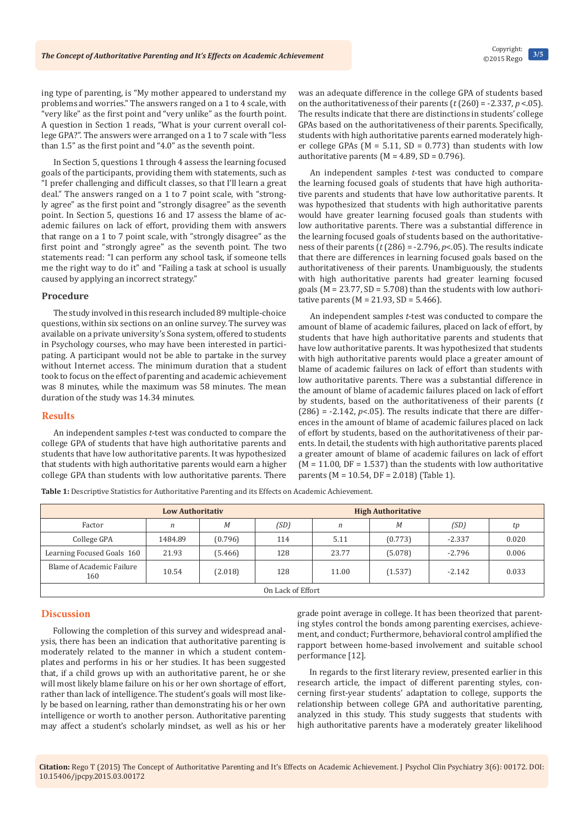ing type of parenting, is "My mother appeared to understand my problems and worries." The answers ranged on a 1 to 4 scale, with "very like" as the first point and "very unlike" as the fourth point. A question in Section 1 reads, "What is your current overall college GPA?". The answers were arranged on a 1 to 7 scale with "less than 1.5" as the first point and "4.0" as the seventh point.

In Section 5, questions 1 through 4 assess the learning focused goals of the participants, providing them with statements, such as "I prefer challenging and difficult classes, so that I'll learn a great deal." The answers ranged on a 1 to 7 point scale, with "strongly agree" as the first point and "strongly disagree" as the seventh point. In Section 5, questions 16 and 17 assess the blame of academic failures on lack of effort, providing them with answers that range on a 1 to 7 point scale, with "strongly disagree" as the first point and "strongly agree" as the seventh point. The two statements read: "I can perform any school task, if someone tells me the right way to do it" and "Failing a task at school is usually caused by applying an incorrect strategy."

## **Procedure**

The study involved in this research included 89 multiple-choice questions, within six sections on an online survey. The survey was available on a private university's Sona system, offered to students in Psychology courses, who may have been interested in participating. A participant would not be able to partake in the survey without Internet access. The minimum duration that a student took to focus on the effect of parenting and academic achievement was 8 minutes, while the maximum was 58 minutes. The mean duration of the study was 14.34 minutes.

### **Results**

An independent samples *t*-test was conducted to compare the college GPA of students that have high authoritative parents and students that have low authoritative parents. It was hypothesized that students with high authoritative parents would earn a higher college GPA than students with low authoritative parents. There

was an adequate difference in the college GPA of students based on the authoritativeness of their parents  $(t(260) = -2.337, p < 0.05)$ . The results indicate that there are distinctions in students' college GPAs based on the authoritativeness of their parents. Specifically, students with high authoritative parents earned moderately higher college GPAs ( $M = 5.11$ , SD = 0.773) than students with low authoritative parents ( $M = 4.89$ , SD = 0.796).

An independent samples *t*-test was conducted to compare the learning focused goals of students that have high authoritative parents and students that have low authoritative parents. It was hypothesized that students with high authoritative parents would have greater learning focused goals than students with low authoritative parents. There was a substantial difference in the learning focused goals of students based on the authoritativeness of their parents (*t* (286) = -2.796, *p*<.05). The results indicate that there are differences in learning focused goals based on the authoritativeness of their parents. Unambiguously, the students with high authoritative parents had greater learning focused goals ( $M = 23.77$ ,  $SD = 5.708$ ) than the students with low authoritative parents ( $M = 21.93$ ,  $SD = 5.466$ ).

An independent samples *t*-test was conducted to compare the amount of blame of academic failures, placed on lack of effort, by students that have high authoritative parents and students that have low authoritative parents. It was hypothesized that students with high authoritative parents would place a greater amount of blame of academic failures on lack of effort than students with low authoritative parents. There was a substantial difference in the amount of blame of academic failures placed on lack of effort by students, based on the authoritativeness of their parents (*t*  $(286) = -2.142$ ,  $p < .05$ ). The results indicate that there are differences in the amount of blame of academic failures placed on lack of effort by students, based on the authoritativeness of their parents. In detail, the students with high authoritative parents placed a greater amount of blame of academic failures on lack of effort  $(M = 11.00, DF = 1.537)$  than the students with low authoritative parents (M = 10.54, DF = 2.018) (Table 1).

**Table 1:** Descriptive Statistics for Authoritative Parenting and its Effects on Academic Achievement.

| <b>Low Authoritativ</b>          |                  |         | <b>High Authoritative</b> |       |         |          |       |
|----------------------------------|------------------|---------|---------------------------|-------|---------|----------|-------|
| Factor                           | $\boldsymbol{n}$ | M       | (SD)                      | n     | M       | (SD)     | tp    |
| College GPA                      | 1484.89          | (0.796) | 114                       | 5.11  | (0.773) | $-2.337$ | 0.020 |
| Learning Focused Goals 160       | 21.93            | (5.466) | 128                       | 23.77 | (5.078) | $-2.796$ | 0.006 |
| Blame of Academic Failure<br>160 | 10.54            | (2.018) | 128                       | 11.00 | (1.537) | $-2.142$ | 0.033 |
| On Lack of Effort                |                  |         |                           |       |         |          |       |

# **Discussion**

Following the completion of this survey and widespread analysis, there has been an indication that authoritative parenting is moderately related to the manner in which a student contemplates and performs in his or her studies. It has been suggested that, if a child grows up with an authoritative parent, he or she will most likely blame failure on his or her own shortage of effort, rather than lack of intelligence. The student's goals will most likely be based on learning, rather than demonstrating his or her own intelligence or worth to another person. Authoritative parenting may affect a student's scholarly mindset, as well as his or her

grade point average in college. It has been theorized that parenting styles control the bonds among parenting exercises, achievement, and conduct; Furthermore, behavioral control amplified the rapport between home-based involvement and suitable school performance [12].

In regards to the first literary review, presented earlier in this research article, the impact of different parenting styles, concerning first-year students' adaptation to college, supports the relationship between college GPA and authoritative parenting, analyzed in this study. This study suggests that students with high authoritative parents have a moderately greater likelihood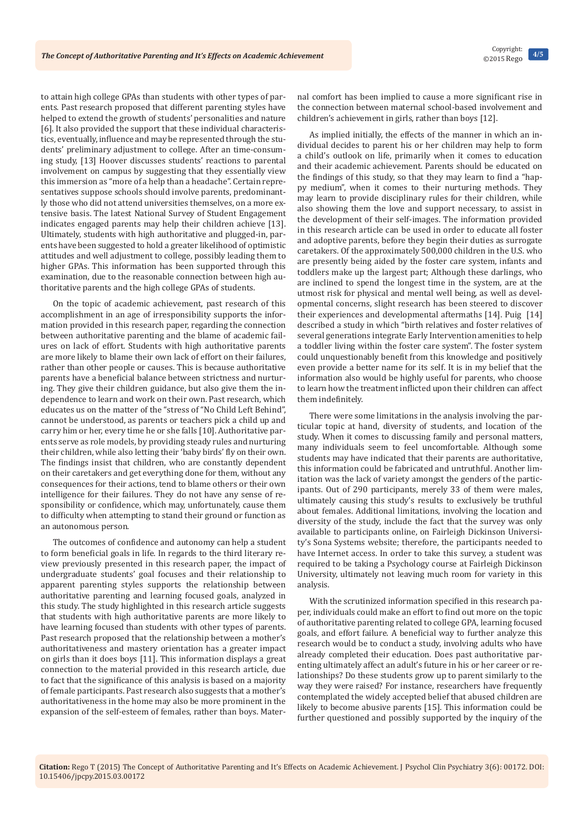to attain high college GPAs than students with other types of parents. Past research proposed that different parenting styles have helped to extend the growth of students' personalities and nature [6]. It also provided the support that these individual characteristics, eventually, influence and may be represented through the students' preliminary adjustment to college. After an time-consuming study, [13] Hoover discusses students' reactions to parental involvement on campus by suggesting that they essentially view this immersion as "more of a help than a headache". Certain representatives suppose schools should involve parents, predominantly those who did not attend universities themselves, on a more extensive basis. The latest National Survey of Student Engagement indicates engaged parents may help their children achieve [13]. Ultimately, students with high authoritative and plugged-in, parents have been suggested to hold a greater likelihood of optimistic attitudes and well adjustment to college, possibly leading them to higher GPAs. This information has been supported through this examination, due to the reasonable connection between high authoritative parents and the high college GPAs of students.

On the topic of academic achievement, past research of this accomplishment in an age of irresponsibility supports the information provided in this research paper, regarding the connection between authoritative parenting and the blame of academic failures on lack of effort. Students with high authoritative parents are more likely to blame their own lack of effort on their failures, rather than other people or causes. This is because authoritative parents have a beneficial balance between strictness and nurturing. They give their children guidance, but also give them the independence to learn and work on their own. Past research, which educates us on the matter of the "stress of "No Child Left Behind", cannot be understood, as parents or teachers pick a child up and carry him or her, every time he or she falls [10]. Authoritative parents serve as role models, by providing steady rules and nurturing their children, while also letting their 'baby birds' fly on their own. The findings insist that children, who are constantly dependent on their caretakers and get everything done for them, without any consequences for their actions, tend to blame others or their own intelligence for their failures. They do not have any sense of responsibility or confidence, which may, unfortunately, cause them to difficulty when attempting to stand their ground or function as an autonomous person.

The outcomes of confidence and autonomy can help a student to form beneficial goals in life. In regards to the third literary review previously presented in this research paper, the impact of undergraduate students' goal focuses and their relationship to apparent parenting styles supports the relationship between authoritative parenting and learning focused goals, analyzed in this study. The study highlighted in this research article suggests that students with high authoritative parents are more likely to have learning focused than students with other types of parents. Past research proposed that the relationship between a mother's authoritativeness and mastery orientation has a greater impact on girls than it does boys [11]. This information displays a great connection to the material provided in this research article, due to fact that the significance of this analysis is based on a majority of female participants. Past research also suggests that a mother's authoritativeness in the home may also be more prominent in the expansion of the self-esteem of females, rather than boys. Maternal comfort has been implied to cause a more significant rise in the connection between maternal school-based involvement and children's achievement in girls, rather than boys [12].

As implied initially, the effects of the manner in which an individual decides to parent his or her children may help to form a child's outlook on life, primarily when it comes to education and their academic achievement. Parents should be educated on the findings of this study, so that they may learn to find a "happy medium", when it comes to their nurturing methods. They may learn to provide disciplinary rules for their children, while also showing them the love and support necessary, to assist in the development of their self-images. The information provided in this research article can be used in order to educate all foster and adoptive parents, before they begin their duties as surrogate caretakers. Of the approximately 500,000 children in the U.S. who are presently being aided by the foster care system, infants and toddlers make up the largest part; Although these darlings, who are inclined to spend the longest time in the system, are at the utmost risk for physical and mental well being, as well as developmental concerns, slight research has been steered to discover their experiences and developmental aftermaths [14]. Puig [14] described a study in which "birth relatives and foster relatives of several generations integrate Early Intervention amenities to help a toddler living within the foster care system". The foster system could unquestionably benefit from this knowledge and positively even provide a better name for its self. It is in my belief that the information also would be highly useful for parents, who choose to learn how the treatment inflicted upon their children can affect them indefinitely.

There were some limitations in the analysis involving the particular topic at hand, diversity of students, and location of the study. When it comes to discussing family and personal matters, many individuals seem to feel uncomfortable. Although some students may have indicated that their parents are authoritative, this information could be fabricated and untruthful. Another limitation was the lack of variety amongst the genders of the participants. Out of 290 participants, merely 33 of them were males, ultimately causing this study's results to exclusively be truthful about females. Additional limitations, involving the location and diversity of the study, include the fact that the survey was only available to participants online, on Fairleigh Dickinson University's Sona Systems website; therefore, the participants needed to have Internet access. In order to take this survey, a student was required to be taking a Psychology course at Fairleigh Dickinson University, ultimately not leaving much room for variety in this analysis.

With the scrutinized information specified in this research paper, individuals could make an effort to find out more on the topic of authoritative parenting related to college GPA, learning focused goals, and effort failure. A beneficial way to further analyze this research would be to conduct a study, involving adults who have already completed their education. Does past authoritative parenting ultimately affect an adult's future in his or her career or relationships? Do these students grow up to parent similarly to the way they were raised? For instance, researchers have frequently contemplated the widely accepted belief that abused children are likely to become abusive parents [15]. This information could be further questioned and possibly supported by the inquiry of the

**Citation:** Rego T (2015) The Concept of Authoritative Parenting and It's Effects on Academic Achievement. J Psychol Clin Psychiatry 3(6): 00172. DOI: [10.15406/jpcpy.2015.03.00172](http://dx.doi.org/10.15406/jpcpy.2015.03.00172

)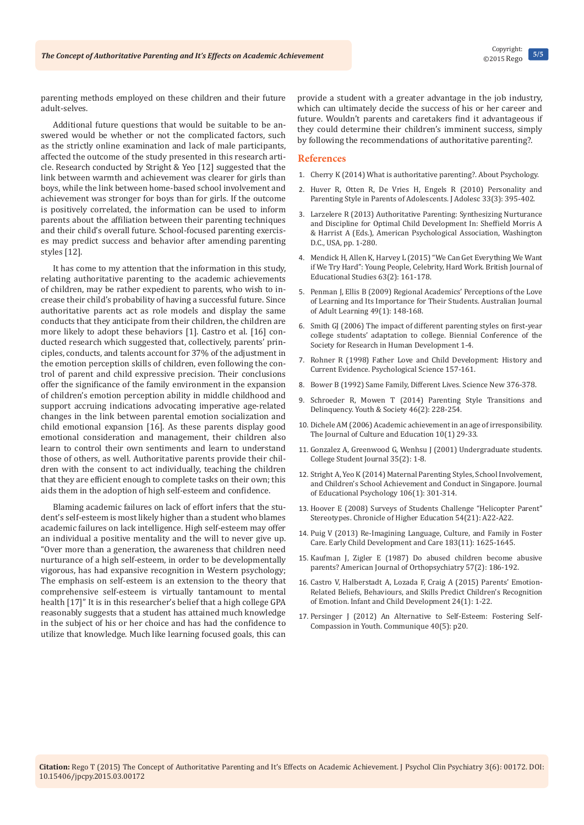parenting methods employed on these children and their future adult-selves.

Additional future questions that would be suitable to be answered would be whether or not the complicated factors, such as the strictly online examination and lack of male participants, affected the outcome of the study presented in this research article. Research conducted by Stright & Yeo [12] suggested that the link between warmth and achievement was clearer for girls than boys, while the link between home-based school involvement and achievement was stronger for boys than for girls. If the outcome is positively correlated, the information can be used to inform parents about the affiliation between their parenting techniques and their child's overall future. School-focused parenting exercises may predict success and behavior after amending parenting styles [12].

It has come to my attention that the information in this study, relating authoritative parenting to the academic achievements of children, may be rather expedient to parents, who wish to increase their child's probability of having a successful future. Since authoritative parents act as role models and display the same conducts that they anticipate from their children, the children are more likely to adopt these behaviors [1]. Castro et al. [16] conducted research which suggested that, collectively, parents' principles, conducts, and talents account for 37% of the adjustment in the emotion perception skills of children, even following the control of parent and child expressive precision. Their conclusions offer the significance of the family environment in the expansion of children's emotion perception ability in middle childhood and support accruing indications advocating imperative age-related changes in the link between parental emotion socialization and child emotional expansion [16]. As these parents display good emotional consideration and management, their children also learn to control their own sentiments and learn to understand those of others, as well. Authoritative parents provide their children with the consent to act individually, teaching the children that they are efficient enough to complete tasks on their own; this aids them in the adoption of high self-esteem and confidence.

Blaming academic failures on lack of effort infers that the student's self-esteem is most likely higher than a student who blames academic failures on lack intelligence. High self-esteem may offer an individual a positive mentality and the will to never give up. "Over more than a generation, the awareness that children need nurturance of a high self-esteem, in order to be developmentally vigorous, has had expansive recognition in Western psychology; The emphasis on self-esteem is an extension to the theory that comprehensive self-esteem is virtually tantamount to mental health [17]" It is in this researcher's belief that a high college GPA reasonably suggests that a student has attained much knowledge in the subject of his or her choice and has had the confidence to utilize that knowledge. Much like learning focused goals, this can

provide a student with a greater advantage in the job industry, which can ultimately decide the success of his or her career and future. Wouldn't parents and caretakers find it advantageous if they could determine their children's imminent success, simply by following the recommendations of authoritative parenting?.

#### **References**

- 1. [Cherry K \(2014\) What is authoritative parenting?. About Psychology.](http://psychology.about.com/od/childcare/f/authoritarian-parenting.htm)
- 2. [Huver R, Otten R, De Vries H, Engels R \(2010\) Personality and](http://www.ncbi.nlm.nih.gov/pubmed/19716597)  [Parenting Style in Parents of Adolescents. J Adolesc 33\(3\): 395-402.](http://www.ncbi.nlm.nih.gov/pubmed/19716597)
- 3. Larzelere R (2013) Authoritative Parenting: Synthesizing Nurturance and Discipline for Optimal Child Development In: Sheffield Morris A & Harrist A (Eds.), American Psychological Association, Washington D.C., USA, pp. 1-280.
- Mendick H, Allen K, Harvey L (2015) "We Can Get Everything We Want [if We Try Hard": Young People, Celebrity, Hard Work. British Journal of](http://www.tandfonline.com/doi/pdf/10.1080/00071005.2014.1002382)  [Educational Studies 63\(2\): 161-178.](http://www.tandfonline.com/doi/pdf/10.1080/00071005.2014.1002382)
- 5. [Penman J, Ellis B \(2009\) Regional Academics' Perceptions of the Love](http://files.eric.ed.gov/fulltext/EJ864436.pdf)  [of Learning and Its Importance for Their Students. Australian Journal](http://files.eric.ed.gov/fulltext/EJ864436.pdf)  [of Adult Learning 49\(1\): 148-168.](http://files.eric.ed.gov/fulltext/EJ864436.pdf)
- 6. [Smith GJ \(2006\) The impact of different parenting styles on first-year](http://eric.ed.gov/?q=authoritative%20parenting%20college%20gpa&ft=on&id=ED494313)  [college students' adaptation to college. Biennial Conference of the](http://eric.ed.gov/?q=authoritative%20parenting%20college%20gpa&ft=on&id=ED494313)  [Society for Research in Human Development 1-4.](http://eric.ed.gov/?q=authoritative%20parenting%20college%20gpa&ft=on&id=ED494313)
- 7. Rohner R (1998) Father Love and Child Development: History and Current Evidence. Psychological Science 157-161.
- 8. Bower B (1992) Same Family, Different Lives. Science New 376-378.
- 9. [Schroeder R, Mowen T \(2014\) Parenting Style Transitions and](http://yas.sagepub.com/content/early/2012/12/27/0044118X12469041)  [Delinquency. Youth & Society 46\(2\): 228-254.](http://yas.sagepub.com/content/early/2012/12/27/0044118X12469041)
- 10. [Dichele AM \(2006\) Academic achievement in an age of irresponsibility.](http://files.eric.ed.gov/fulltext/EJ795702.pdf)  [The Journal of Culture and Education 10\(1\) 29-33.](http://files.eric.ed.gov/fulltext/EJ795702.pdf)
- 11. [Gonzalez A, Greenwood G, Wenhsu J \(2001\) Undergraduate students.](http://www.freepatentsonline.com/article/College-Student-Journal/77399625.html)  [College Student Journal 35\(2\): 1-8.](http://www.freepatentsonline.com/article/College-Student-Journal/77399625.html)
- 12. [Stright A, Yeo K \(2014\) Maternal Parenting Styles, School Involvement,](http://psycnet.apa.org/index.cfm?fa=buy.optionToBuy&id=2013-29638-001)  [and Children's School Achievement and Conduct in Singapore. Journal](http://psycnet.apa.org/index.cfm?fa=buy.optionToBuy&id=2013-29638-001)  [of Educational Psychology 106\(1\): 301-314.](http://psycnet.apa.org/index.cfm?fa=buy.optionToBuy&id=2013-29638-001)
- 13. [Hoover E \(2008\) Surveys of Students Challenge "Helicopter Parent"](http://chronicle.com/article/Surveys-of-Students-Challenge/35553)  [Stereotypes. Chronicle of Higher Education 54\(21\): A22-A22.](http://chronicle.com/article/Surveys-of-Students-Challenge/35553)
- 14. [Puig V \(2013\) Re-Imagining Language, Culture, and Family in Foster](http://www.tandfonline.com/doi/abs/10.1080/03004430.2012.744987)  [Care. Early Child Development and Care 183\(11\): 1625-1645.](http://www.tandfonline.com/doi/abs/10.1080/03004430.2012.744987)
- 15. [Kaufman J, Zigler E \(1987\) Do abused children become abusive](http://www.ncbi.nlm.nih.gov/pubmed/3296775)  [parents? American Journal of Orthopsychiatry 57\(2\): 186-192.](http://www.ncbi.nlm.nih.gov/pubmed/3296775)
- 16. [Castro V, Halberstadt A, Lozada F, Craig A \(2015\) Parents' Emotion-](http://onlinelibrary.wiley.com/doi/10.1002/icd.1868/abstract)[Related Beliefs, Behaviours, and Skills Predict Children's Recognition](http://onlinelibrary.wiley.com/doi/10.1002/icd.1868/abstract)  [of Emotion. Infant and Child Development 24\(1\): 1-22.](http://onlinelibrary.wiley.com/doi/10.1002/icd.1868/abstract)
- 17. [Persinger J \(2012\) An Alternative to Self-Esteem: Fostering Self-](http://connection.ebscohost.com/c/articles/70871337/alternative-self-esteem-fostering-self-compassion-youth)[Compassion in Youth. Communique 40\(5\): p20.](http://connection.ebscohost.com/c/articles/70871337/alternative-self-esteem-fostering-self-compassion-youth)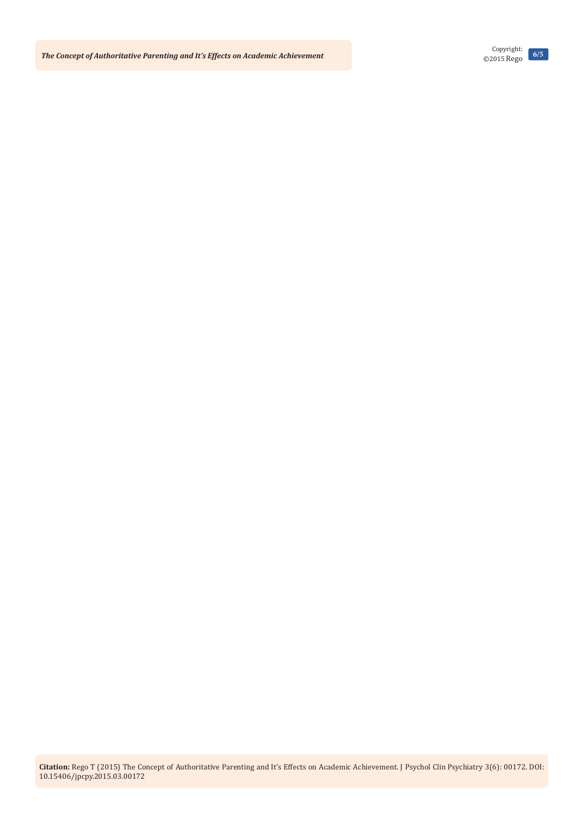